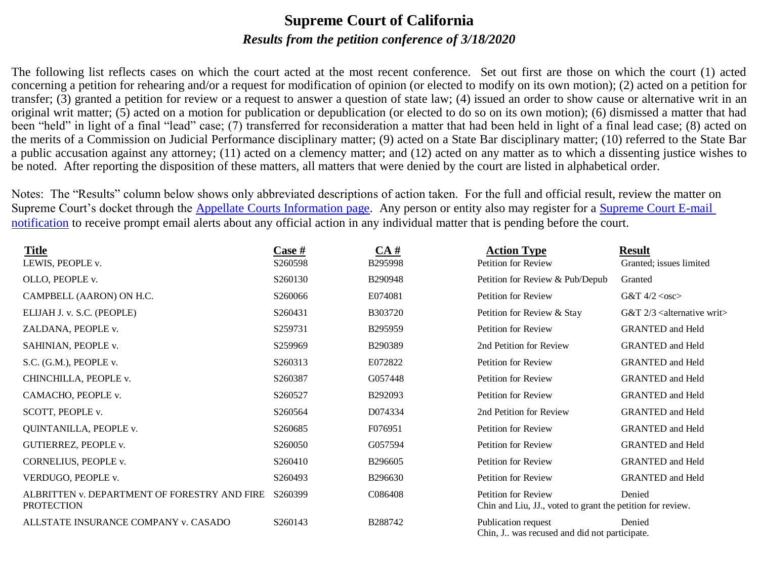### **Supreme Court of California** *Results from the petition conference of 3/18/2020*

The following list reflects cases on which the court acted at the most recent conference. Set out first are those on which the court (1) acted concerning a petition for rehearing and/or a request for modification of opinion (or elected to modify on its own motion); (2) acted on a petition for transfer; (3) granted a petition for review or a request to answer a question of state law; (4) issued an order to show cause or alternative writ in an original writ matter; (5) acted on a motion for publication or depublication (or elected to do so on its own motion); (6) dismissed a matter that had been "held" in light of a final "lead" case; (7) transferred for reconsideration a matter that had been held in light of a final lead case; (8) acted on the merits of a Commission on Judicial Performance disciplinary matter; (9) acted on a State Bar disciplinary matter; (10) referred to the State Bar a public accusation against any attorney; (11) acted on a clemency matter; and (12) acted on any matter as to which a dissenting justice wishes to be noted. After reporting the disposition of these matters, all matters that were denied by the court are listed in alphabetical order.

Notes: The "Results" column below shows only abbreviated descriptions of action taken. For the full and official result, review the matter on Supreme Court's docket through the [Appellate Courts Information page.](http://appellatecases.courtinfo.ca.gov/search.cfm?dist=0) Any person or entity also may register for a Supreme Court E-mail [notification](http://appellatecases.courtinfo.ca.gov/email.cfm?dist=0) to receive prompt email alerts about any official action in any individual matter that is pending before the court.

| Title                                                             | <b>Case</b> # | CA#     | <b>Action Type</b>                                                                | <b>Result</b>                                 |
|-------------------------------------------------------------------|---------------|---------|-----------------------------------------------------------------------------------|-----------------------------------------------|
| LEWIS, PEOPLE v.                                                  | S260598       | B295998 | Petition for Review                                                               | Granted; issues limited                       |
| OLLO, PEOPLE v.                                                   | S260130       | B290948 | Petition for Review & Pub/Depub                                                   | Granted                                       |
| CAMPBELL (AARON) ON H.C.                                          | S260066       | E074081 | <b>Petition for Review</b>                                                        | G&T $4/2 <$ osc>                              |
| ELIJAH J. v. S.C. (PEOPLE)                                        | S260431       | B303720 | Petition for Review & Stay                                                        | $G&T$ 2/3 <alternative writ=""></alternative> |
| ZALDANA, PEOPLE v.                                                | S259731       | B295959 | Petition for Review                                                               | <b>GRANTED</b> and Held                       |
| SAHINIAN, PEOPLE v.                                               | S259969       | B290389 | 2nd Petition for Review                                                           | <b>GRANTED</b> and Held                       |
| S.C. (G.M.), PEOPLE v.                                            | S260313       | E072822 | Petition for Review                                                               | <b>GRANTED</b> and Held                       |
| CHINCHILLA, PEOPLE v.                                             | S260387       | G057448 | Petition for Review                                                               | <b>GRANTED</b> and Held                       |
| CAMACHO, PEOPLE v.                                                | S260527       | B292093 | Petition for Review                                                               | <b>GRANTED</b> and Held                       |
| SCOTT, PEOPLE v.                                                  | S260564       | D074334 | 2nd Petition for Review                                                           | <b>GRANTED</b> and Held                       |
| QUINTANILLA, PEOPLE v.                                            | S260685       | F076951 | Petition for Review                                                               | <b>GRANTED</b> and Held                       |
| GUTIERREZ, PEOPLE v.                                              | S260050       | G057594 | <b>Petition for Review</b>                                                        | <b>GRANTED</b> and Held                       |
| CORNELIUS, PEOPLE v.                                              | S260410       | B296605 | <b>Petition for Review</b>                                                        | <b>GRANTED</b> and Held                       |
| VERDUGO, PEOPLE v.                                                | S260493       | B296630 | Petition for Review                                                               | <b>GRANTED</b> and Held                       |
| ALBRITTEN v. DEPARTMENT OF FORESTRY AND FIRE<br><b>PROTECTION</b> | S260399       | C086408 | Petition for Review<br>Chin and Liu, JJ., voted to grant the petition for review. | Denied                                        |
| ALLSTATE INSURANCE COMPANY v. CASADO                              | S260143       | B288742 | Publication request<br>Chin, J., was recused and did not participate.             | Denied                                        |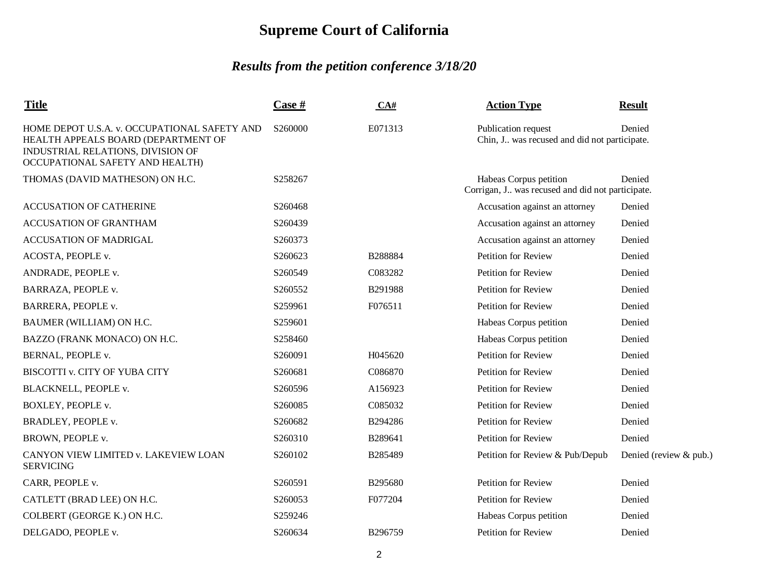| <b>Title</b>                                                                                                                                                | Case #  | CA#     | <b>Action Type</b>                                                         | <b>Result</b>          |
|-------------------------------------------------------------------------------------------------------------------------------------------------------------|---------|---------|----------------------------------------------------------------------------|------------------------|
| HOME DEPOT U.S.A. v. OCCUPATIONAL SAFETY AND<br>HEALTH APPEALS BOARD (DEPARTMENT OF<br>INDUSTRIAL RELATIONS, DIVISION OF<br>OCCUPATIONAL SAFETY AND HEALTH) | S260000 | E071313 | Publication request<br>Chin, J was recused and did not participate.        | Denied                 |
| THOMAS (DAVID MATHESON) ON H.C.                                                                                                                             | S258267 |         | Habeas Corpus petition<br>Corrigan, J was recused and did not participate. | Denied                 |
| <b>ACCUSATION OF CATHERINE</b>                                                                                                                              | S260468 |         | Accusation against an attorney                                             | Denied                 |
| <b>ACCUSATION OF GRANTHAM</b>                                                                                                                               | S260439 |         | Accusation against an attorney                                             | Denied                 |
| <b>ACCUSATION OF MADRIGAL</b>                                                                                                                               | S260373 |         | Accusation against an attorney                                             | Denied                 |
| ACOSTA, PEOPLE v.                                                                                                                                           | S260623 | B288884 | Petition for Review                                                        | Denied                 |
| ANDRADE, PEOPLE v.                                                                                                                                          | S260549 | C083282 | Petition for Review                                                        | Denied                 |
| BARRAZA, PEOPLE v.                                                                                                                                          | S260552 | B291988 | Petition for Review                                                        | Denied                 |
| BARRERA, PEOPLE v.                                                                                                                                          | S259961 | F076511 | Petition for Review                                                        | Denied                 |
| BAUMER (WILLIAM) ON H.C.                                                                                                                                    | S259601 |         | Habeas Corpus petition                                                     | Denied                 |
| BAZZO (FRANK MONACO) ON H.C.                                                                                                                                | S258460 |         | Habeas Corpus petition                                                     | Denied                 |
| BERNAL, PEOPLE v.                                                                                                                                           | S260091 | H045620 | <b>Petition for Review</b>                                                 | Denied                 |
| BISCOTTI v. CITY OF YUBA CITY                                                                                                                               | S260681 | C086870 | Petition for Review                                                        | Denied                 |
| BLACKNELL, PEOPLE v.                                                                                                                                        | S260596 | A156923 | Petition for Review                                                        | Denied                 |
| BOXLEY, PEOPLE v.                                                                                                                                           | S260085 | C085032 | Petition for Review                                                        | Denied                 |
| BRADLEY, PEOPLE v.                                                                                                                                          | S260682 | B294286 | Petition for Review                                                        | Denied                 |
| BROWN, PEOPLE v.                                                                                                                                            | S260310 | B289641 | <b>Petition for Review</b>                                                 | Denied                 |
| CANYON VIEW LIMITED v. LAKEVIEW LOAN<br><b>SERVICING</b>                                                                                                    | S260102 | B285489 | Petition for Review & Pub/Depub                                            | Denied (review & pub.) |
| CARR, PEOPLE v.                                                                                                                                             | S260591 | B295680 | Petition for Review                                                        | Denied                 |
| CATLETT (BRAD LEE) ON H.C.                                                                                                                                  | S260053 | F077204 | Petition for Review                                                        | Denied                 |
| COLBERT (GEORGE K.) ON H.C.                                                                                                                                 | S259246 |         | Habeas Corpus petition                                                     | Denied                 |
| DELGADO, PEOPLE v.                                                                                                                                          | S260634 | B296759 | <b>Petition for Review</b>                                                 | Denied                 |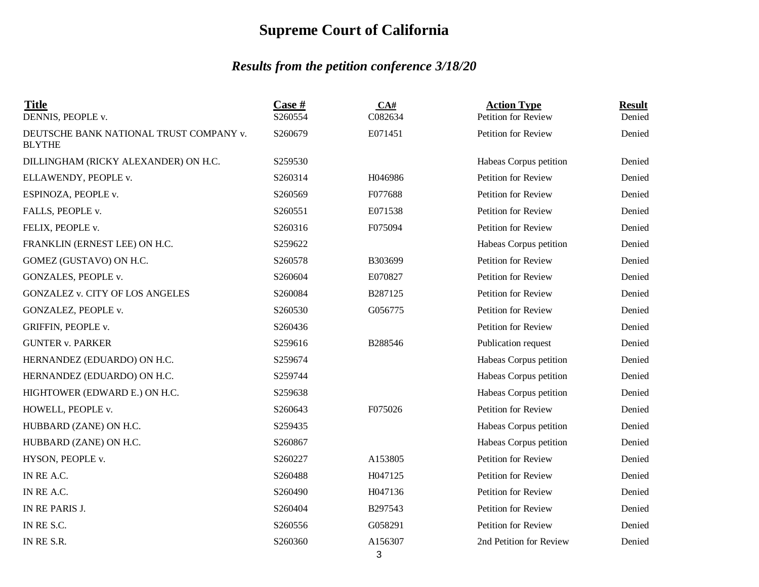| <b>Title</b><br>DENNIS, PEOPLE v.                        | Case #<br>S260554 | CA#<br>C082634 | <b>Action Type</b><br>Petition for Review | <b>Result</b><br>Denied |
|----------------------------------------------------------|-------------------|----------------|-------------------------------------------|-------------------------|
| DEUTSCHE BANK NATIONAL TRUST COMPANY v.<br><b>BLYTHE</b> | S260679           | E071451        | Petition for Review                       | Denied                  |
| DILLINGHAM (RICKY ALEXANDER) ON H.C.                     | S259530           |                | Habeas Corpus petition                    | Denied                  |
| ELLAWENDY, PEOPLE v.                                     | S260314           | H046986        | Petition for Review                       | Denied                  |
| ESPINOZA, PEOPLE v.                                      | S260569           | F077688        | Petition for Review                       | Denied                  |
| FALLS, PEOPLE v.                                         | S260551           | E071538        | Petition for Review                       | Denied                  |
| FELIX, PEOPLE v.                                         | S260316           | F075094        | Petition for Review                       | Denied                  |
| FRANKLIN (ERNEST LEE) ON H.C.                            | S259622           |                | Habeas Corpus petition                    | Denied                  |
| GOMEZ (GUSTAVO) ON H.C.                                  | S260578           | B303699        | Petition for Review                       | Denied                  |
| GONZALES, PEOPLE v.                                      | S260604           | E070827        | Petition for Review                       | Denied                  |
| <b>GONZALEZ v. CITY OF LOS ANGELES</b>                   | S260084           | B287125        | Petition for Review                       | Denied                  |
| GONZALEZ, PEOPLE v.                                      | S260530           | G056775        | Petition for Review                       | Denied                  |
| GRIFFIN, PEOPLE v.                                       | S260436           |                | Petition for Review                       | Denied                  |
| <b>GUNTER v. PARKER</b>                                  | S259616           | B288546        | Publication request                       | Denied                  |
| HERNANDEZ (EDUARDO) ON H.C.                              | S259674           |                | Habeas Corpus petition                    | Denied                  |
| HERNANDEZ (EDUARDO) ON H.C.                              | S259744           |                | Habeas Corpus petition                    | Denied                  |
| HIGHTOWER (EDWARD E.) ON H.C.                            | S259638           |                | Habeas Corpus petition                    | Denied                  |
| HOWELL, PEOPLE v.                                        | S260643           | F075026        | Petition for Review                       | Denied                  |
| HUBBARD (ZANE) ON H.C.                                   | S259435           |                | Habeas Corpus petition                    | Denied                  |
| HUBBARD (ZANE) ON H.C.                                   | S260867           |                | Habeas Corpus petition                    | Denied                  |
| HYSON, PEOPLE v.                                         | S260227           | A153805        | Petition for Review                       | Denied                  |
| IN RE A.C.                                               | S260488           | H047125        | Petition for Review                       | Denied                  |
| IN RE A.C.                                               | S260490           | H047136        | Petition for Review                       | Denied                  |
| IN RE PARIS J.                                           | S260404           | B297543        | Petition for Review                       | Denied                  |
| IN RE S.C.                                               | S260556           | G058291        | Petition for Review                       | Denied                  |
| IN RE S.R.                                               | S260360           | A156307        | 2nd Petition for Review                   | Denied                  |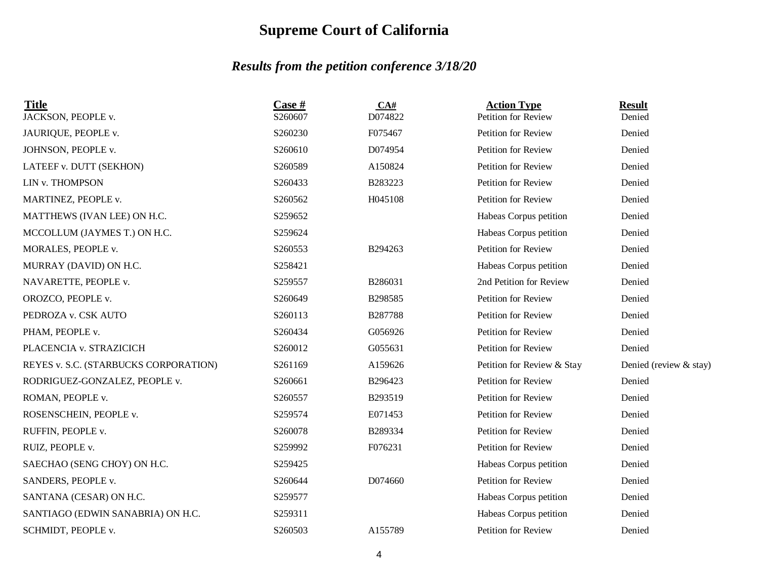| <b>Title</b><br>JACKSON, PEOPLE v.    | Case #<br>S260607 | CA#<br>D074822 | <b>Action Type</b><br><b>Petition for Review</b> | <b>Result</b><br>Denied |
|---------------------------------------|-------------------|----------------|--------------------------------------------------|-------------------------|
| JAURIQUE, PEOPLE v.                   | S260230           | F075467        | Petition for Review                              | Denied                  |
| JOHNSON, PEOPLE v.                    | S260610           | D074954        | Petition for Review                              | Denied                  |
| LATEEF v. DUTT (SEKHON)               | S260589           | A150824        | Petition for Review                              | Denied                  |
| LIN v. THOMPSON                       | S260433           | B283223        | <b>Petition for Review</b>                       | Denied                  |
| MARTINEZ, PEOPLE v.                   | S260562           | H045108        | Petition for Review                              | Denied                  |
| MATTHEWS (IVAN LEE) ON H.C.           | S259652           |                | Habeas Corpus petition                           | Denied                  |
| MCCOLLUM (JAYMES T.) ON H.C.          | S259624           |                | Habeas Corpus petition                           | Denied                  |
| MORALES, PEOPLE v.                    | S260553           | B294263        | <b>Petition for Review</b>                       | Denied                  |
| MURRAY (DAVID) ON H.C.                | S258421           |                | Habeas Corpus petition                           | Denied                  |
| NAVARETTE, PEOPLE v.                  | S259557           | B286031        | 2nd Petition for Review                          | Denied                  |
| OROZCO, PEOPLE v.                     | S260649           | B298585        | Petition for Review                              | Denied                  |
| PEDROZA v. CSK AUTO                   | S260113           | B287788        | Petition for Review                              | Denied                  |
| PHAM, PEOPLE v.                       | S260434           | G056926        | Petition for Review                              | Denied                  |
| PLACENCIA v. STRAZICICH               | S260012           | G055631        | <b>Petition for Review</b>                       | Denied                  |
| REYES v. S.C. (STARBUCKS CORPORATION) | S261169           | A159626        | Petition for Review & Stay                       | Denied (review & stay)  |
| RODRIGUEZ-GONZALEZ, PEOPLE v.         | S260661           | B296423        | Petition for Review                              | Denied                  |
| ROMAN, PEOPLE v.                      | S260557           | B293519        | <b>Petition for Review</b>                       | Denied                  |
| ROSENSCHEIN, PEOPLE v.                | S259574           | E071453        | Petition for Review                              | Denied                  |
| RUFFIN, PEOPLE v.                     | S260078           | B289334        | Petition for Review                              | Denied                  |
| RUIZ, PEOPLE v.                       | S259992           | F076231        | Petition for Review                              | Denied                  |
| SAECHAO (SENG CHOY) ON H.C.           | S259425           |                | Habeas Corpus petition                           | Denied                  |
| SANDERS, PEOPLE v.                    | S260644           | D074660        | Petition for Review                              | Denied                  |
| SANTANA (CESAR) ON H.C.               | S259577           |                | Habeas Corpus petition                           | Denied                  |
| SANTIAGO (EDWIN SANABRIA) ON H.C.     | S259311           |                | Habeas Corpus petition                           | Denied                  |
| SCHMIDT, PEOPLE v.                    | S260503           | A155789        | Petition for Review                              | Denied                  |